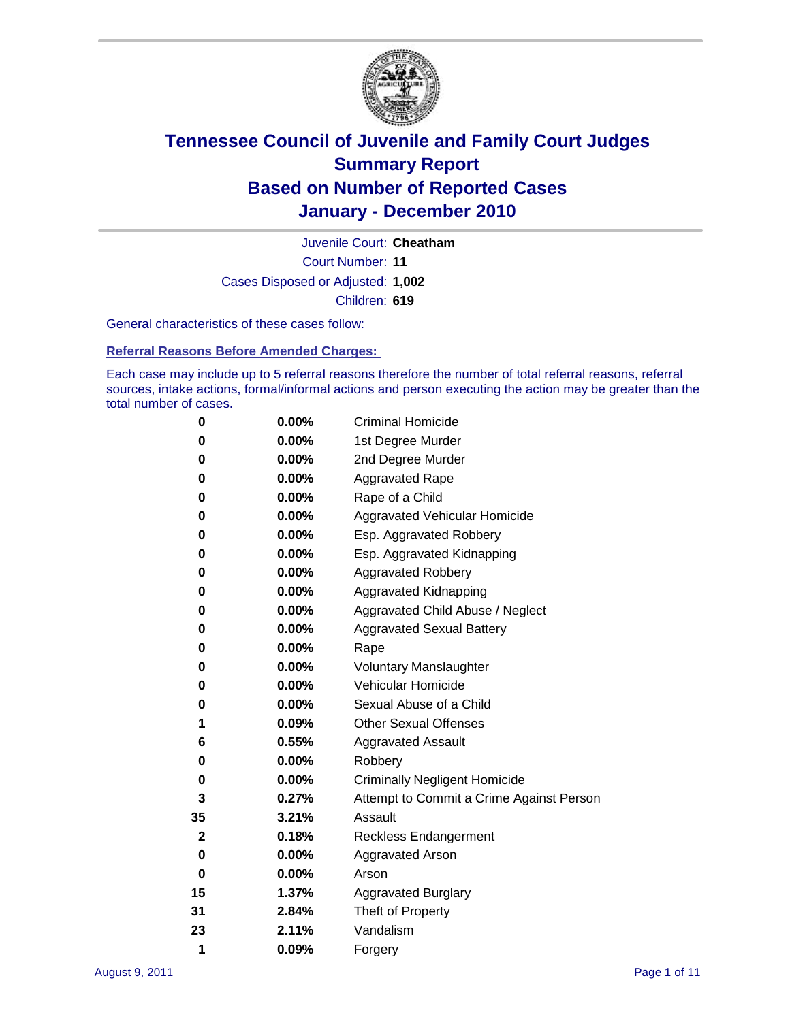

Court Number: **11** Juvenile Court: **Cheatham** Cases Disposed or Adjusted: **1,002** Children: **619**

General characteristics of these cases follow:

**Referral Reasons Before Amended Charges:** 

Each case may include up to 5 referral reasons therefore the number of total referral reasons, referral sources, intake actions, formal/informal actions and person executing the action may be greater than the total number of cases.

| 0  | 0.00%    | <b>Criminal Homicide</b>                 |  |  |  |
|----|----------|------------------------------------------|--|--|--|
| 0  | 0.00%    | 1st Degree Murder                        |  |  |  |
| 0  | 0.00%    | 2nd Degree Murder                        |  |  |  |
| 0  | 0.00%    | <b>Aggravated Rape</b>                   |  |  |  |
| 0  | 0.00%    | Rape of a Child                          |  |  |  |
| 0  | 0.00%    | Aggravated Vehicular Homicide            |  |  |  |
| 0  | 0.00%    | Esp. Aggravated Robbery                  |  |  |  |
| 0  | 0.00%    | Esp. Aggravated Kidnapping               |  |  |  |
| 0  | 0.00%    | <b>Aggravated Robbery</b>                |  |  |  |
| 0  | 0.00%    | Aggravated Kidnapping                    |  |  |  |
| 0  | 0.00%    | Aggravated Child Abuse / Neglect         |  |  |  |
| 0  | 0.00%    | <b>Aggravated Sexual Battery</b>         |  |  |  |
| 0  | 0.00%    | Rape                                     |  |  |  |
| 0  | $0.00\%$ | <b>Voluntary Manslaughter</b>            |  |  |  |
| 0  | 0.00%    | Vehicular Homicide                       |  |  |  |
| 0  | 0.00%    | Sexual Abuse of a Child                  |  |  |  |
| 1  | 0.09%    | <b>Other Sexual Offenses</b>             |  |  |  |
| 6  | 0.55%    | <b>Aggravated Assault</b>                |  |  |  |
| 0  | $0.00\%$ | Robbery                                  |  |  |  |
| 0  | 0.00%    | <b>Criminally Negligent Homicide</b>     |  |  |  |
| 3  | 0.27%    | Attempt to Commit a Crime Against Person |  |  |  |
| 35 | 3.21%    | Assault                                  |  |  |  |
| 2  | 0.18%    | <b>Reckless Endangerment</b>             |  |  |  |
| 0  | 0.00%    | <b>Aggravated Arson</b>                  |  |  |  |
| 0  | 0.00%    | Arson                                    |  |  |  |
| 15 | 1.37%    | <b>Aggravated Burglary</b>               |  |  |  |
| 31 | 2.84%    | Theft of Property                        |  |  |  |
| 23 | 2.11%    | Vandalism                                |  |  |  |
| 1  | 0.09%    | Forgery                                  |  |  |  |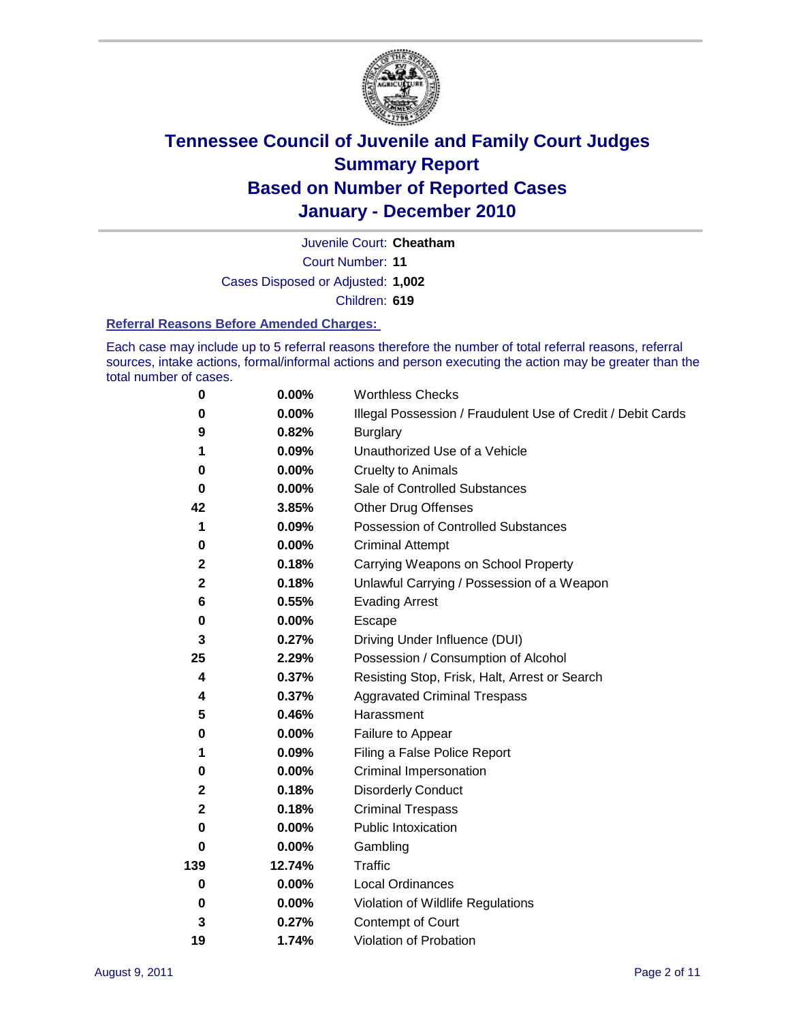

Court Number: **11** Juvenile Court: **Cheatham** Cases Disposed or Adjusted: **1,002** Children: **619**

#### **Referral Reasons Before Amended Charges:**

Each case may include up to 5 referral reasons therefore the number of total referral reasons, referral sources, intake actions, formal/informal actions and person executing the action may be greater than the total number of cases.

| $\pmb{0}$    | 0.00%    | <b>Worthless Checks</b>                                     |  |  |
|--------------|----------|-------------------------------------------------------------|--|--|
| 0            | 0.00%    | Illegal Possession / Fraudulent Use of Credit / Debit Cards |  |  |
| 9            | 0.82%    | <b>Burglary</b>                                             |  |  |
| 1            | 0.09%    | Unauthorized Use of a Vehicle                               |  |  |
| 0            | $0.00\%$ | <b>Cruelty to Animals</b>                                   |  |  |
| $\bf{0}$     | 0.00%    | Sale of Controlled Substances                               |  |  |
| 42           | 3.85%    | <b>Other Drug Offenses</b>                                  |  |  |
| 1            | 0.09%    | Possession of Controlled Substances                         |  |  |
| 0            | $0.00\%$ | <b>Criminal Attempt</b>                                     |  |  |
| $\mathbf 2$  | 0.18%    | Carrying Weapons on School Property                         |  |  |
| $\mathbf 2$  | 0.18%    | Unlawful Carrying / Possession of a Weapon                  |  |  |
| 6            | 0.55%    | <b>Evading Arrest</b>                                       |  |  |
| 0            | 0.00%    | Escape                                                      |  |  |
| 3            | 0.27%    | Driving Under Influence (DUI)                               |  |  |
| 25           | 2.29%    | Possession / Consumption of Alcohol                         |  |  |
| 4            | 0.37%    | Resisting Stop, Frisk, Halt, Arrest or Search               |  |  |
| 4            | 0.37%    | <b>Aggravated Criminal Trespass</b>                         |  |  |
| 5            | 0.46%    | Harassment                                                  |  |  |
| 0            | 0.00%    | Failure to Appear                                           |  |  |
| 1            | 0.09%    | Filing a False Police Report                                |  |  |
| 0            | 0.00%    | Criminal Impersonation                                      |  |  |
| 2            | 0.18%    | <b>Disorderly Conduct</b>                                   |  |  |
| $\mathbf{2}$ | 0.18%    | <b>Criminal Trespass</b>                                    |  |  |
| $\bf{0}$     | 0.00%    | Public Intoxication                                         |  |  |
| 0            | $0.00\%$ | Gambling                                                    |  |  |
| 139          | 12.74%   | <b>Traffic</b>                                              |  |  |
| 0            | $0.00\%$ | Local Ordinances                                            |  |  |
| 0            | $0.00\%$ | Violation of Wildlife Regulations                           |  |  |
| 3            | 0.27%    | Contempt of Court                                           |  |  |
| 19           | 1.74%    | Violation of Probation                                      |  |  |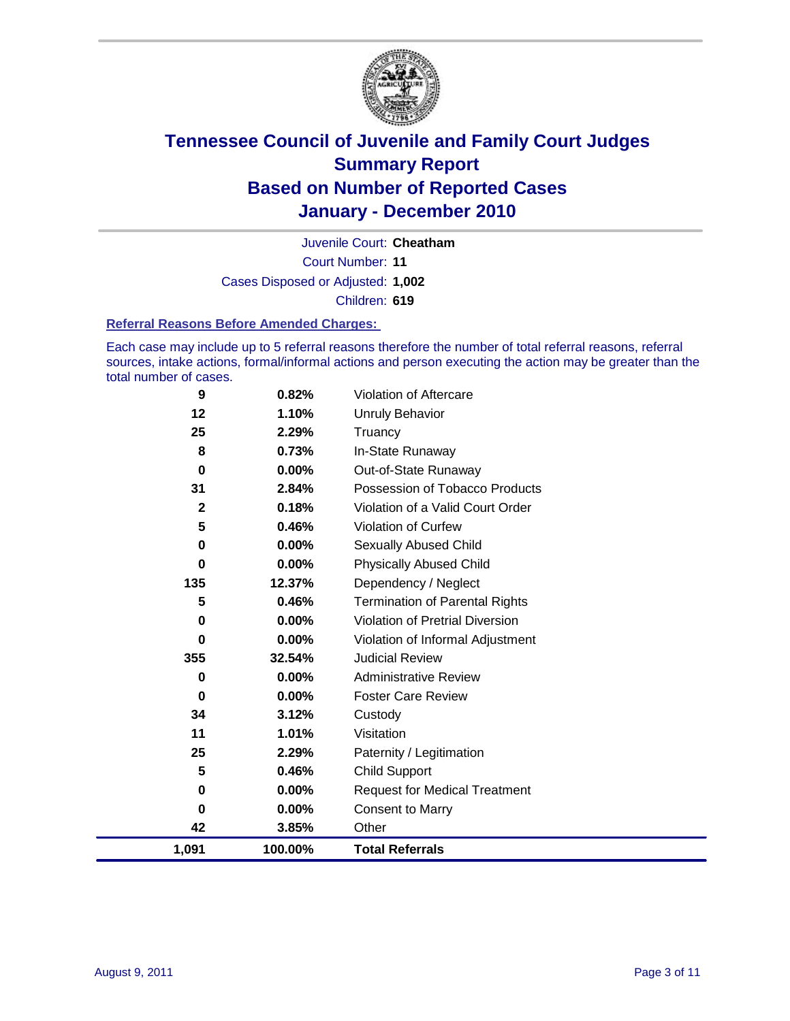

Court Number: **11** Juvenile Court: **Cheatham** Cases Disposed or Adjusted: **1,002** Children: **619**

#### **Referral Reasons Before Amended Charges:**

Each case may include up to 5 referral reasons therefore the number of total referral reasons, referral sources, intake actions, formal/informal actions and person executing the action may be greater than the total number of cases.

| 9            | 0.82%    | Violation of Aftercare                 |
|--------------|----------|----------------------------------------|
| 12           | 1.10%    | Unruly Behavior                        |
| 25           | 2.29%    | Truancy                                |
| 8            | 0.73%    | In-State Runaway                       |
| 0            | 0.00%    | Out-of-State Runaway                   |
| 31           | 2.84%    | Possession of Tobacco Products         |
| $\mathbf{2}$ | 0.18%    | Violation of a Valid Court Order       |
| 5            | 0.46%    | Violation of Curfew                    |
| 0            | $0.00\%$ | Sexually Abused Child                  |
| 0            | 0.00%    | <b>Physically Abused Child</b>         |
| 135          | 12.37%   | Dependency / Neglect                   |
| 5            | 0.46%    | <b>Termination of Parental Rights</b>  |
| 0            | $0.00\%$ | <b>Violation of Pretrial Diversion</b> |
| 0            | 0.00%    | Violation of Informal Adjustment       |
| 355          | 32.54%   | <b>Judicial Review</b>                 |
| 0            | $0.00\%$ | <b>Administrative Review</b>           |
| 0            | $0.00\%$ | <b>Foster Care Review</b>              |
| 34           | 3.12%    | Custody                                |
| 11           | 1.01%    | Visitation                             |
| 25           | 2.29%    | Paternity / Legitimation               |
| 5            | 0.46%    | <b>Child Support</b>                   |
| 0            | $0.00\%$ | <b>Request for Medical Treatment</b>   |
| 0            | 0.00%    | <b>Consent to Marry</b>                |
| 42           | 3.85%    | Other                                  |
| 1,091        | 100.00%  | <b>Total Referrals</b>                 |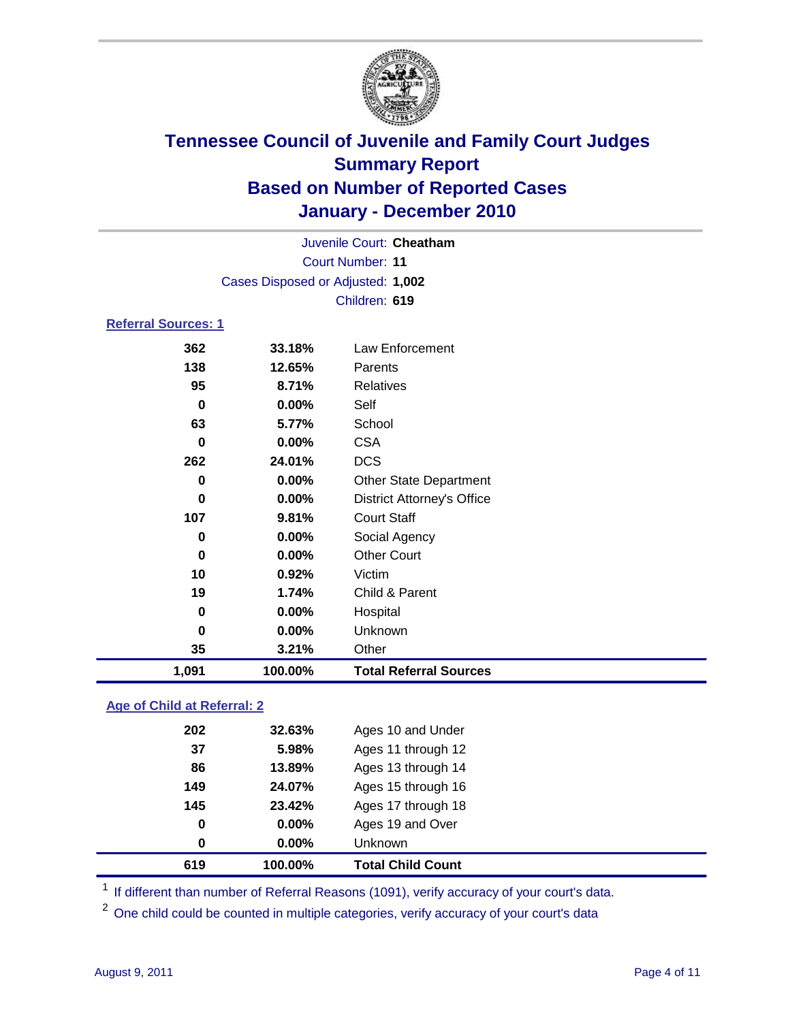

| Juvenile Court: Cheatham   |                                   |                                   |  |  |  |
|----------------------------|-----------------------------------|-----------------------------------|--|--|--|
|                            | <b>Court Number: 11</b>           |                                   |  |  |  |
|                            | Cases Disposed or Adjusted: 1,002 |                                   |  |  |  |
|                            |                                   | Children: 619                     |  |  |  |
| <b>Referral Sources: 1</b> |                                   |                                   |  |  |  |
| 362                        | 33.18%                            | Law Enforcement                   |  |  |  |
| 138                        | 12.65%                            | Parents                           |  |  |  |
| 95                         | 8.71%                             | <b>Relatives</b>                  |  |  |  |
| 0                          | 0.00%                             | Self                              |  |  |  |
| 63                         | 5.77%                             | School                            |  |  |  |
| 0                          | $0.00\%$                          | <b>CSA</b>                        |  |  |  |
| 262                        | 24.01%                            | <b>DCS</b>                        |  |  |  |
| 0                          | $0.00\%$                          | <b>Other State Department</b>     |  |  |  |
| 0                          | $0.00\%$                          | <b>District Attorney's Office</b> |  |  |  |
| 107                        | 9.81%                             | <b>Court Staff</b>                |  |  |  |
| 0                          | $0.00\%$                          | Social Agency                     |  |  |  |
| 0                          | 0.00%                             | <b>Other Court</b>                |  |  |  |
| 10                         | 0.92%                             | Victim                            |  |  |  |
| 19                         | 1.74%                             | Child & Parent                    |  |  |  |
| 0                          | $0.00\%$                          | Hospital                          |  |  |  |
| 0                          | $0.00\%$                          | Unknown                           |  |  |  |
| 35                         | 3.21%                             | Other                             |  |  |  |
| 1,091                      | 100.00%                           | <b>Total Referral Sources</b>     |  |  |  |

### **Age of Child at Referral: 2**

|     | 100.00% | <b>Total Child Count</b> |
|-----|---------|--------------------------|
| 0   | 0.00%   | Unknown                  |
| 0   | 0.00%   | Ages 19 and Over         |
| 145 | 23.42%  | Ages 17 through 18       |
| 149 | 24.07%  | Ages 15 through 16       |
| 86  | 13.89%  | Ages 13 through 14       |
| 37  | 5.98%   | Ages 11 through 12       |
| 202 | 32.63%  | Ages 10 and Under        |
|     | 619     |                          |

<sup>1</sup> If different than number of Referral Reasons (1091), verify accuracy of your court's data.

<sup>2</sup> One child could be counted in multiple categories, verify accuracy of your court's data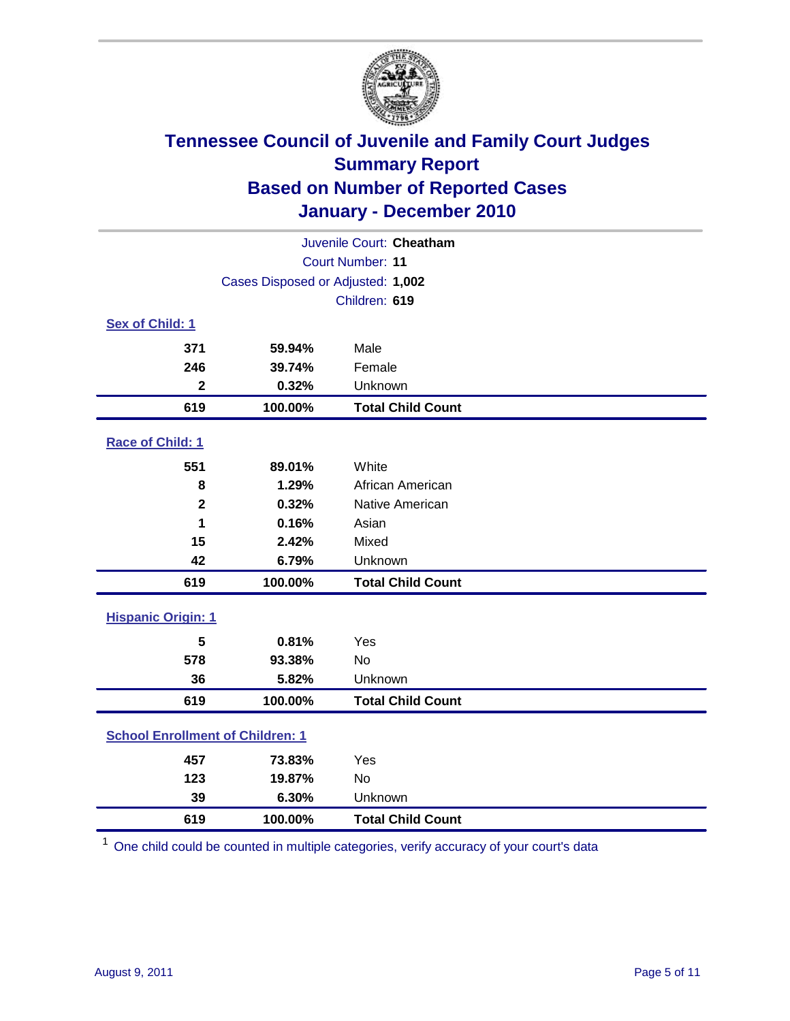

| Juvenile Court: Cheatham                |                                   |                          |  |  |
|-----------------------------------------|-----------------------------------|--------------------------|--|--|
| <b>Court Number: 11</b>                 |                                   |                          |  |  |
|                                         | Cases Disposed or Adjusted: 1,002 |                          |  |  |
|                                         |                                   | Children: 619            |  |  |
| Sex of Child: 1                         |                                   |                          |  |  |
| 371                                     | 59.94%                            | Male                     |  |  |
| 246                                     | 39.74%                            | Female                   |  |  |
| $\mathbf{2}$                            | 0.32%                             | Unknown                  |  |  |
| 619                                     | 100.00%                           | <b>Total Child Count</b> |  |  |
| Race of Child: 1                        |                                   |                          |  |  |
| 551                                     | 89.01%                            | White                    |  |  |
| 8                                       | 1.29%                             | African American         |  |  |
| $\overline{\mathbf{2}}$                 | 0.32%                             | Native American          |  |  |
| 1                                       | 0.16%                             | Asian                    |  |  |
| 15                                      | 2.42%                             | Mixed                    |  |  |
| 42                                      | 6.79%                             | Unknown                  |  |  |
| 619                                     | 100.00%                           | <b>Total Child Count</b> |  |  |
| <b>Hispanic Origin: 1</b>               |                                   |                          |  |  |
| 5                                       | 0.81%                             | Yes                      |  |  |
| 578                                     | 93.38%                            | No                       |  |  |
| 36                                      | 5.82%                             | Unknown                  |  |  |
| 619                                     | 100.00%                           | <b>Total Child Count</b> |  |  |
| <b>School Enrollment of Children: 1</b> |                                   |                          |  |  |
| 457                                     | 73.83%                            | Yes                      |  |  |
| 123                                     | 19.87%                            | No                       |  |  |
| 39                                      | 6.30%                             | Unknown                  |  |  |
| 619                                     | 100.00%                           | <b>Total Child Count</b> |  |  |

One child could be counted in multiple categories, verify accuracy of your court's data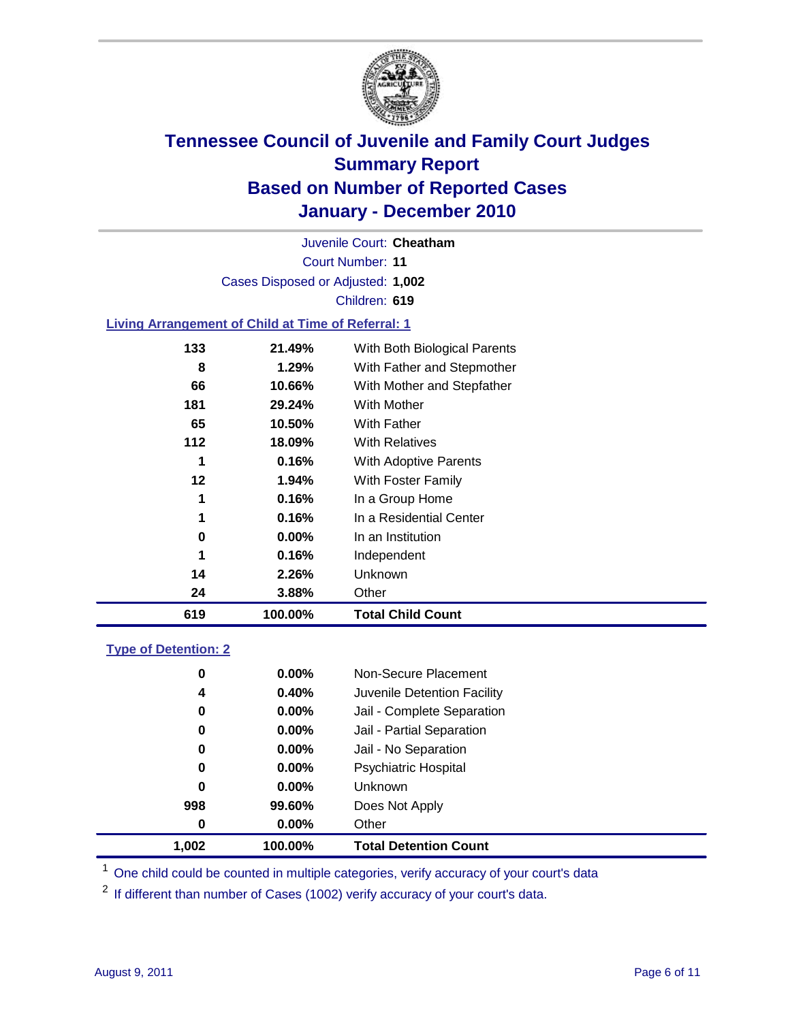

Court Number: **11** Juvenile Court: **Cheatham** Cases Disposed or Adjusted: **1,002** Children: **619**

### **Living Arrangement of Child at Time of Referral: 1**

| 619 | 100.00%  | <b>Total Child Count</b>     |
|-----|----------|------------------------------|
| 24  | 3.88%    | Other                        |
| 14  | 2.26%    | <b>Unknown</b>               |
| 1   | 0.16%    | Independent                  |
| 0   | $0.00\%$ | In an Institution            |
| 1   | 0.16%    | In a Residential Center      |
| 1   | 0.16%    | In a Group Home              |
| 12  | 1.94%    | With Foster Family           |
| 1   | 0.16%    | With Adoptive Parents        |
| 112 | 18.09%   | <b>With Relatives</b>        |
| 65  | 10.50%   | With Father                  |
| 181 | 29.24%   | <b>With Mother</b>           |
| 66  | 10.66%   | With Mother and Stepfather   |
| 8   | 1.29%    | With Father and Stepmother   |
| 133 | 21.49%   | With Both Biological Parents |
|     |          |                              |

### **Type of Detention: 2**

| 1.002    | 100.00%  | <b>Total Detention Count</b> |
|----------|----------|------------------------------|
| $\bf{0}$ | 0.00%    | Other                        |
| 998      | 99.60%   | Does Not Apply               |
| 0        | 0.00%    | Unknown                      |
| 0        | 0.00%    | <b>Psychiatric Hospital</b>  |
| 0        | 0.00%    | Jail - No Separation         |
| 0        | 0.00%    | Jail - Partial Separation    |
| 0        | $0.00\%$ | Jail - Complete Separation   |
| 4        | 0.40%    | Juvenile Detention Facility  |
| 0        | 0.00%    | Non-Secure Placement         |
|          |          |                              |

<sup>1</sup> One child could be counted in multiple categories, verify accuracy of your court's data

<sup>2</sup> If different than number of Cases (1002) verify accuracy of your court's data.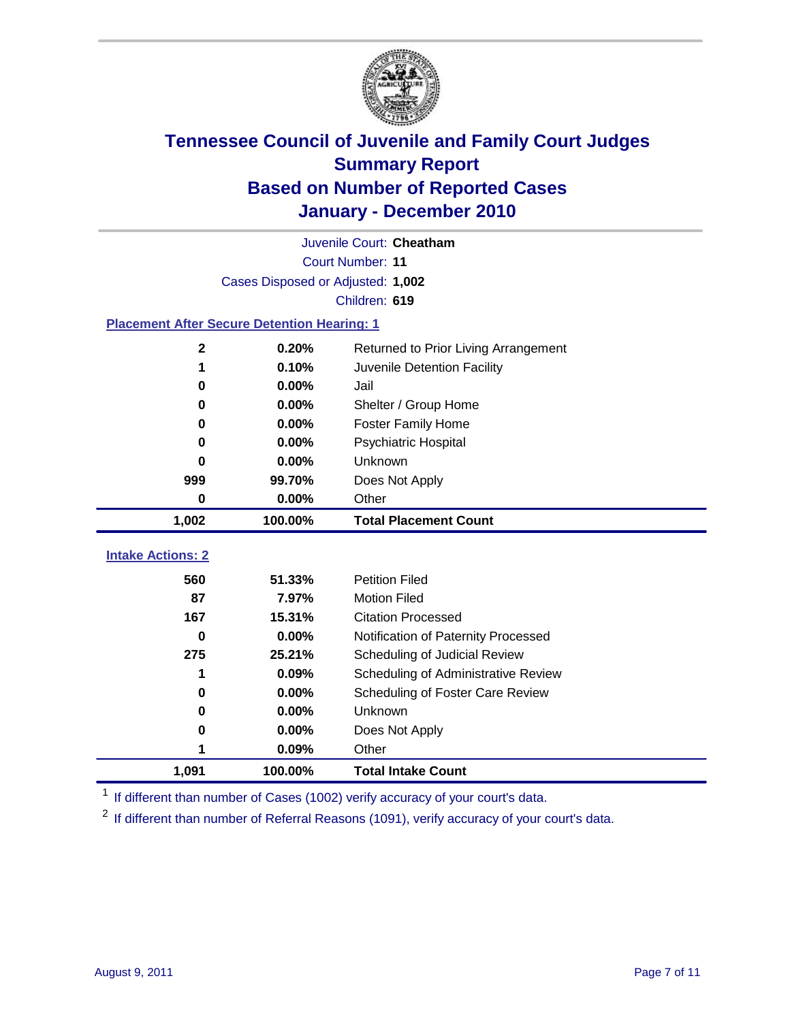

|                                                    | Juvenile Court: Cheatham          |                                      |  |  |  |
|----------------------------------------------------|-----------------------------------|--------------------------------------|--|--|--|
|                                                    | Court Number: 11                  |                                      |  |  |  |
|                                                    | Cases Disposed or Adjusted: 1,002 |                                      |  |  |  |
|                                                    |                                   | Children: 619                        |  |  |  |
| <b>Placement After Secure Detention Hearing: 1</b> |                                   |                                      |  |  |  |
| $\mathbf 2$                                        | 0.20%                             | Returned to Prior Living Arrangement |  |  |  |
| 1                                                  | 0.10%                             | Juvenile Detention Facility          |  |  |  |
| 0                                                  | 0.00%                             | Jail                                 |  |  |  |
| 0                                                  | 0.00%                             | Shelter / Group Home                 |  |  |  |
| 0                                                  | 0.00%                             | <b>Foster Family Home</b>            |  |  |  |
| 0                                                  | 0.00%                             | Psychiatric Hospital                 |  |  |  |
| O                                                  | 0.00%                             | Unknown                              |  |  |  |
| 999                                                | 99.70%                            | Does Not Apply                       |  |  |  |
| 0                                                  | 0.00%                             | Other                                |  |  |  |
| 1,002                                              | 100.00%                           | <b>Total Placement Count</b>         |  |  |  |
|                                                    |                                   |                                      |  |  |  |
| <b>Intake Actions: 2</b>                           |                                   |                                      |  |  |  |
| 560                                                | 51.33%                            | <b>Petition Filed</b>                |  |  |  |
| 87                                                 | 7.97%                             | <b>Motion Filed</b>                  |  |  |  |
| 167                                                | 15.31%                            | <b>Citation Processed</b>            |  |  |  |
| $\bf{0}$                                           | 0.00%                             | Notification of Paternity Processed  |  |  |  |
| 275                                                | 25.21%                            | Scheduling of Judicial Review        |  |  |  |
| 1                                                  | 0.09%                             | Scheduling of Administrative Review  |  |  |  |
| 0                                                  | $0.00\%$                          | Scheduling of Foster Care Review     |  |  |  |
| 0                                                  | 0.00%                             | Unknown                              |  |  |  |
| 0                                                  | 0.00%                             | Does Not Apply                       |  |  |  |
| 1                                                  | 0.09%                             | Other                                |  |  |  |
| 1,091                                              | 100.00%                           | <b>Total Intake Count</b>            |  |  |  |

<sup>1</sup> If different than number of Cases (1002) verify accuracy of your court's data.

<sup>2</sup> If different than number of Referral Reasons (1091), verify accuracy of your court's data.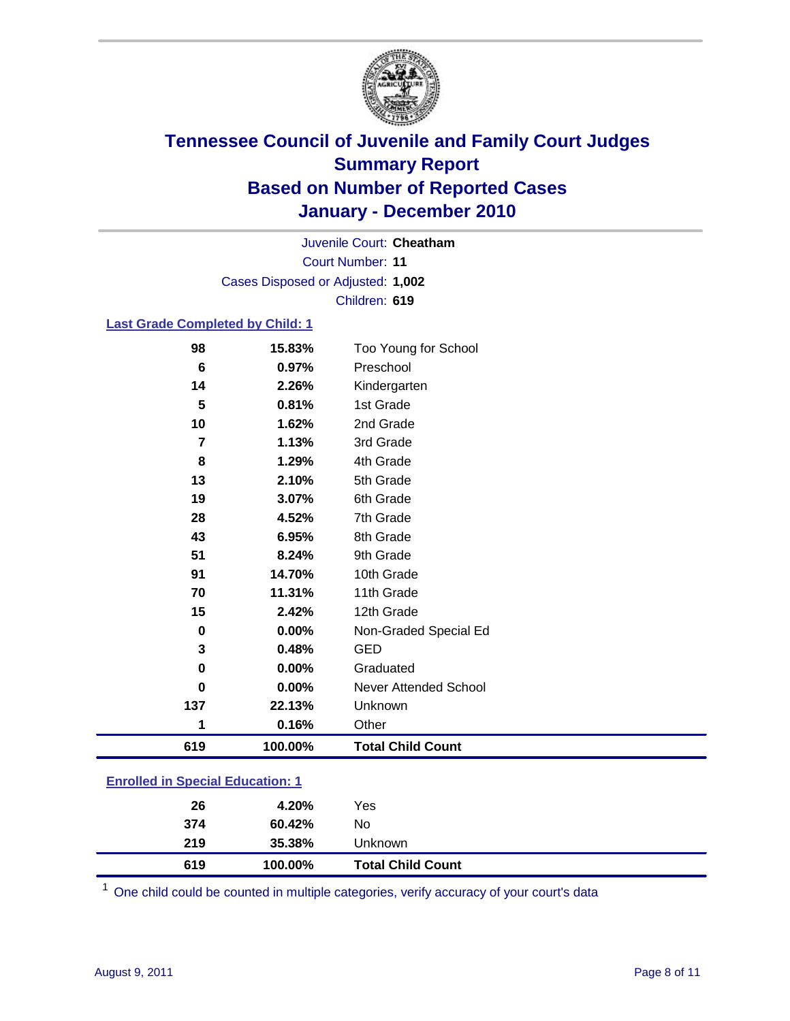

Court Number: **11** Juvenile Court: **Cheatham** Cases Disposed or Adjusted: **1,002** Children: **619**

### **Last Grade Completed by Child: 1**

| 619 | 100.00% | <b>Total Child Count</b> |
|-----|---------|--------------------------|
| 1   | 0.16%   | Other                    |
| 137 | 22.13%  | Unknown                  |
| 0   | 0.00%   | Never Attended School    |
| 0   | 0.00%   | Graduated                |
| 3   | 0.48%   | <b>GED</b>               |
| 0   | 0.00%   | Non-Graded Special Ed    |
| 15  | 2.42%   | 12th Grade               |
| 70  | 11.31%  | 11th Grade               |
| 91  | 14.70%  | 10th Grade               |
| 51  | 8.24%   | 9th Grade                |
| 43  | 6.95%   | 8th Grade                |
| 28  | 4.52%   | 7th Grade                |
| 19  | 3.07%   | 6th Grade                |
| 13  | 2.10%   | 5th Grade                |
| 8   | 1.29%   | 4th Grade                |
| 7   | 1.13%   | 3rd Grade                |
| 10  | 1.62%   | 2nd Grade                |
| 5   | 0.81%   | 1st Grade                |
| 14  | 2.26%   | Kindergarten             |
| 6   | 0.97%   | Preschool                |
| 98  | 15.83%  | Too Young for School     |

| 619                                   | 100.00% | <b>Total Child Count</b> |  |  |
|---------------------------------------|---------|--------------------------|--|--|
| 219                                   | 35.38%  | Unknown                  |  |  |
| 374                                   | 60.42%  | No                       |  |  |
| 26                                    | 4.20%   | Yes                      |  |  |
| $\mathbf{r}$ only a  opposite example |         |                          |  |  |

One child could be counted in multiple categories, verify accuracy of your court's data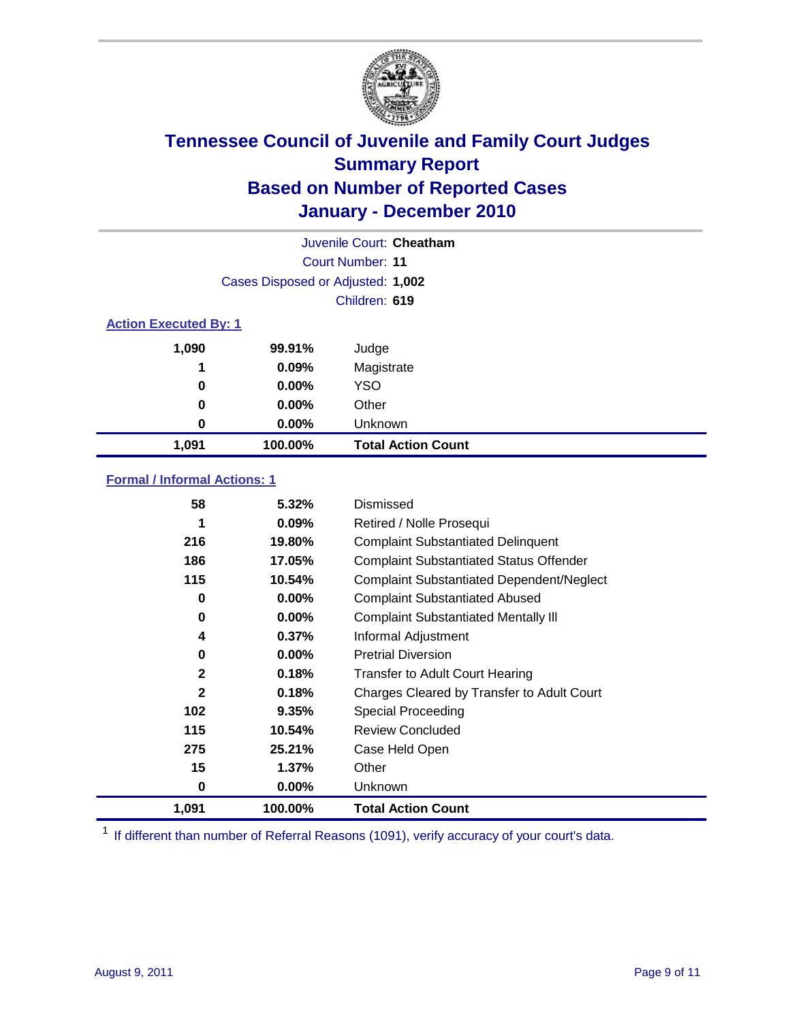

|                              | Juvenile Court: Cheatham          |                           |  |  |
|------------------------------|-----------------------------------|---------------------------|--|--|
|                              | Court Number: 11                  |                           |  |  |
|                              | Cases Disposed or Adjusted: 1,002 |                           |  |  |
|                              | Children: 619                     |                           |  |  |
| <b>Action Executed By: 1</b> |                                   |                           |  |  |
| 1,090                        | 99.91%                            | Judge                     |  |  |
| 1                            | 0.09%                             | Magistrate                |  |  |
| 0                            | $0.00\%$                          | <b>YSO</b>                |  |  |
| 0                            | $0.00\%$                          | Other                     |  |  |
| 0                            | 0.00%                             | Unknown                   |  |  |
| 1,091                        | 100.00%                           | <b>Total Action Count</b> |  |  |

### **Formal / Informal Actions: 1**

| 58           | 5.32%    | Dismissed                                        |
|--------------|----------|--------------------------------------------------|
| 1            | $0.09\%$ | Retired / Nolle Prosequi                         |
| 216          | 19.80%   | <b>Complaint Substantiated Delinquent</b>        |
| 186          | 17.05%   | <b>Complaint Substantiated Status Offender</b>   |
| 115          | 10.54%   | <b>Complaint Substantiated Dependent/Neglect</b> |
| 0            | $0.00\%$ | <b>Complaint Substantiated Abused</b>            |
| 0            | $0.00\%$ | <b>Complaint Substantiated Mentally III</b>      |
| 4            | 0.37%    | Informal Adjustment                              |
| 0            | $0.00\%$ | <b>Pretrial Diversion</b>                        |
| $\mathbf{2}$ | 0.18%    | <b>Transfer to Adult Court Hearing</b>           |
| $\mathbf{2}$ | 0.18%    | Charges Cleared by Transfer to Adult Court       |
| 102          | 9.35%    | Special Proceeding                               |
| 115          | 10.54%   | <b>Review Concluded</b>                          |
| 275          | 25.21%   | Case Held Open                                   |
| 15           | 1.37%    | Other                                            |
| 0            | $0.00\%$ | <b>Unknown</b>                                   |
| 1,091        | 100.00%  | <b>Total Action Count</b>                        |

<sup>1</sup> If different than number of Referral Reasons (1091), verify accuracy of your court's data.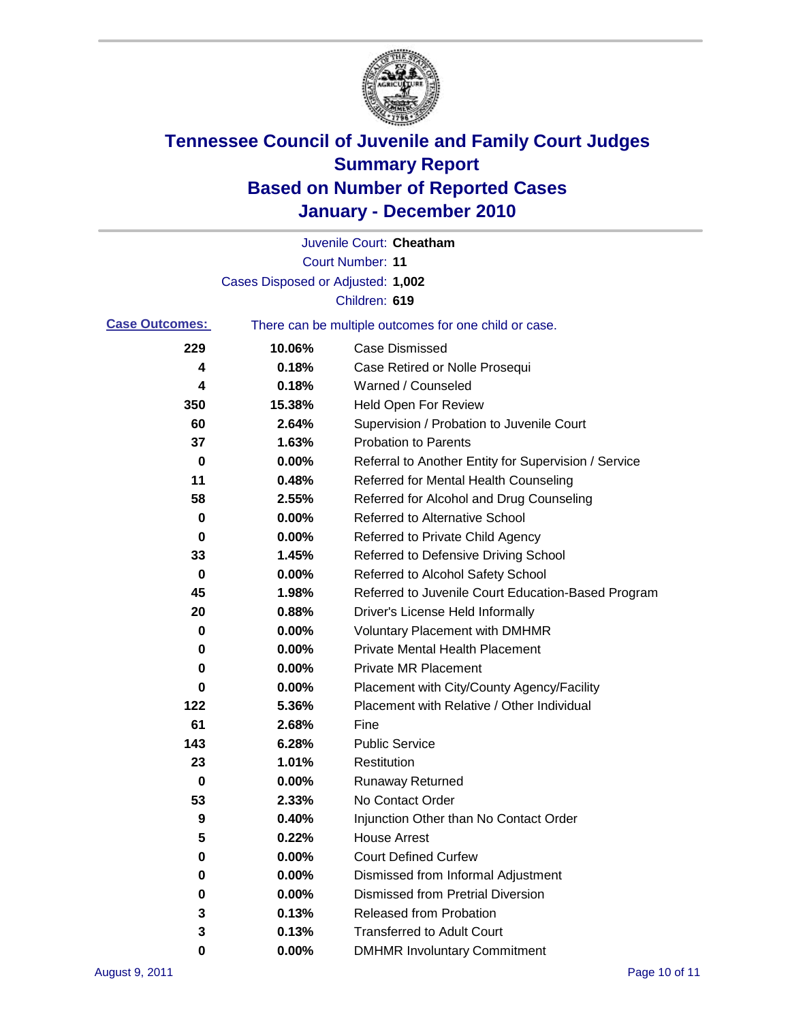

|                       |                                   | Juvenile Court: Cheatham                              |
|-----------------------|-----------------------------------|-------------------------------------------------------|
|                       |                                   | <b>Court Number: 11</b>                               |
|                       | Cases Disposed or Adjusted: 1,002 |                                                       |
|                       |                                   | Children: 619                                         |
| <b>Case Outcomes:</b> |                                   | There can be multiple outcomes for one child or case. |
| 229                   | 10.06%                            | <b>Case Dismissed</b>                                 |
| 4                     | 0.18%                             | Case Retired or Nolle Prosequi                        |
| 4                     | 0.18%                             | Warned / Counseled                                    |
| 350                   | 15.38%                            | <b>Held Open For Review</b>                           |
| 60                    | 2.64%                             | Supervision / Probation to Juvenile Court             |
| 37                    | 1.63%                             | <b>Probation to Parents</b>                           |
| 0                     | 0.00%                             | Referral to Another Entity for Supervision / Service  |
| 11                    | 0.48%                             | Referred for Mental Health Counseling                 |
| 58                    | 2.55%                             | Referred for Alcohol and Drug Counseling              |
| 0                     | 0.00%                             | <b>Referred to Alternative School</b>                 |
| 0                     | 0.00%                             | Referred to Private Child Agency                      |
| 33                    | 1.45%                             | Referred to Defensive Driving School                  |
| 0                     | 0.00%                             | Referred to Alcohol Safety School                     |
| 45                    | 1.98%                             | Referred to Juvenile Court Education-Based Program    |
| 20                    | 0.88%                             | Driver's License Held Informally                      |
| 0                     | 0.00%                             | <b>Voluntary Placement with DMHMR</b>                 |
| 0                     | 0.00%                             | <b>Private Mental Health Placement</b>                |
| 0                     | 0.00%                             | <b>Private MR Placement</b>                           |
| 0                     | 0.00%                             | Placement with City/County Agency/Facility            |
| 122                   | 5.36%                             | Placement with Relative / Other Individual            |
| 61                    | 2.68%                             | Fine                                                  |
| 143                   | 6.28%                             | <b>Public Service</b>                                 |
| 23                    | 1.01%                             | Restitution                                           |
| 0                     | 0.00%                             | <b>Runaway Returned</b>                               |
| 53                    | 2.33%                             | No Contact Order                                      |
| 9                     | 0.40%                             | Injunction Other than No Contact Order                |
| 5                     | 0.22%                             | <b>House Arrest</b>                                   |
| 0                     | 0.00%                             | <b>Court Defined Curfew</b>                           |
| 0                     | 0.00%                             | Dismissed from Informal Adjustment                    |
| 0                     | 0.00%                             | <b>Dismissed from Pretrial Diversion</b>              |
| 3                     | 0.13%                             | <b>Released from Probation</b>                        |
| 3                     | 0.13%                             | <b>Transferred to Adult Court</b>                     |
| 0                     | $0.00\%$                          | <b>DMHMR Involuntary Commitment</b>                   |